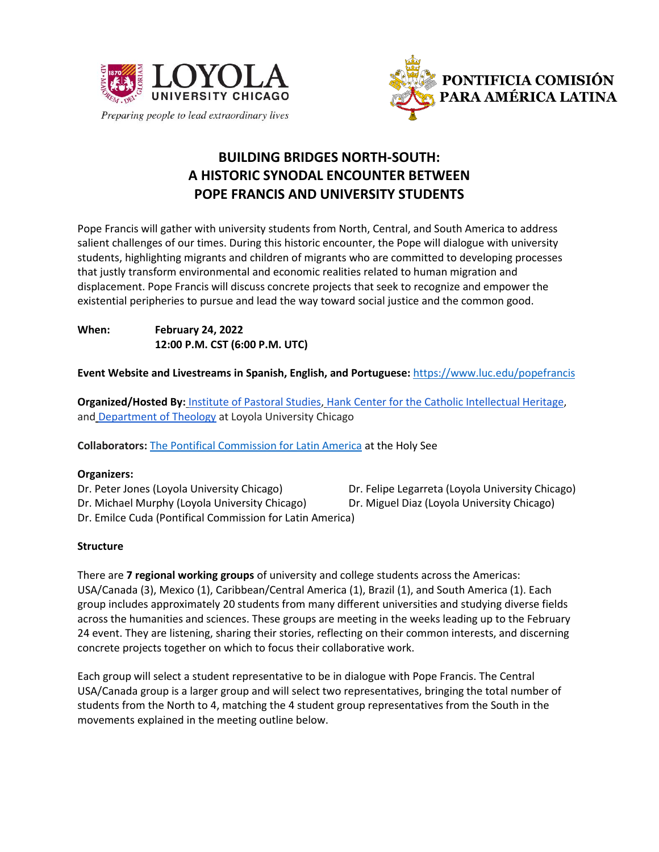



# **BUILDING BRIDGES NORTH-SOUTH: A HISTORIC SYNODAL ENCOUNTER BETWEEN POPE FRANCIS AND UNIVERSITY STUDENTS**

Pope Francis will gather with university students from North, Central, and South America to address salient challenges of our times. During this historic encounter, the Pope will dialogue with university students, highlighting migrants and children of migrants who are committed to developing processes that justly transform environmental and economic realities related to human migration and displacement. Pope Francis will discuss concrete projects that seek to recognize and empower the existential peripheries to pursue and lead the way toward social justice and the common good.

**When: February 24, 2022 12:00 P.M. CST (6:00 P.M. UTC)**

**Event Website and Livestreams in Spanish, English, and Portuguese:** <https://www.luc.edu/popefrancis>

**Organized/Hosted By:** [Institute of Pastoral Studies,](https://www.luc.edu/ips) [Hank Center for the Catholic Intellectual Heritage,](https://www.luc.edu/ccih/) and [Department of Theology](https://www.luc.edu/theology/index.shtml) at Loyola University Chicago

**Collaborators:** [The Pontifical Commission for Latin America](https://www.vatican.va/content/romancuria/en/pontificie-commissioni/pontificia-america-latina.html) at the Holy See

# **Organizers:**

Dr. Peter Jones (Loyola University Chicago) Dr. Felipe Legarreta (Loyola University Chicago) Dr. Michael Murphy (Loyola University Chicago) Dr. Miguel Diaz (Loyola University Chicago) Dr. Emilce Cuda (Pontifical Commission for Latin America)

# **Structure**

There are **7 regional working groups** of university and college students across the Americas: USA/Canada (3), Mexico (1), Caribbean/Central America (1), Brazil (1), and South America (1). Each group includes approximately 20 students from many different universities and studying diverse fields across the humanities and sciences. These groups are meeting in the weeks leading up to the February 24 event. They are listening, sharing their stories, reflecting on their common interests, and discerning concrete projects together on which to focus their collaborative work.

Each group will select a student representative to be in dialogue with Pope Francis. The Central USA/Canada group is a larger group and will select two representatives, bringing the total number of students from the North to 4, matching the 4 student group representatives from the South in the movements explained in the meeting outline below.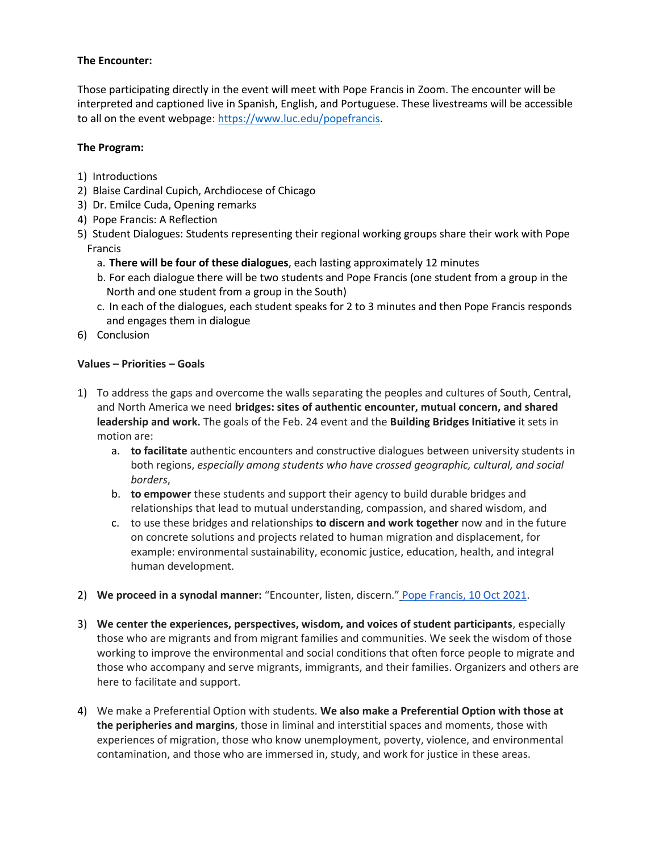## **The Encounter:**

Those participating directly in the event will meet with Pope Francis in Zoom. The encounter will be interpreted and captioned live in Spanish, English, and Portuguese. These livestreams will be accessible to all on the event webpage: [https://www.luc.edu/popefrancis.](https://www.luc.edu/popefrancis)

### **The Program:**

- 1) Introductions
- 2) Blaise Cardinal Cupich, Archdiocese of Chicago
- 3) Dr. Emilce Cuda, Opening remarks
- 4) Pope Francis: A Reflection
- 5) Student Dialogues: Students representing their regional working groups share their work with Pope Francis
	- a. **There will be four of these dialogues**, each lasting approximately 12 minutes
	- b. For each dialogue there will be two students and Pope Francis (one student from a group in the North and one student from a group in the South)
	- c. In each of the dialogues, each student speaks for 2 to 3 minutes and then Pope Francis responds and engages them in dialogue
- 6) Conclusion

### **Values – Priorities – Goals**

- 1) To address the gaps and overcome the walls separating the peoples and cultures of South, Central, and North America we need **bridges: sites of authentic encounter, mutual concern, and shared leadership and work.** The goals of the Feb. 24 event and the **Building Bridges Initiative** it sets in motion are:
	- a. **to facilitate** authentic encounters and constructive dialogues between university students in both regions, *especially among students who have crossed geographic, cultural, and social borders*,
	- b. **to empower** these students and support their agency to build durable bridges and relationships that lead to mutual understanding, compassion, and shared wisdom, and
	- c. to use these bridges and relationships **to discern and work together** now and in the future on concrete solutions and projects related to human migration and displacement, for example: environmental sustainability, economic justice, education, health, and integral human development.
- 2) **We proceed in a synodal manner:** "Encounter, listen, discern." [Pope Francis, 10 Oct 2021.](https://www.vatican.va/content/francesco/en/homilies/2021/documents/20211010-omelia-sinodo-vescovi.html)
- 3) **We center the experiences, perspectives, wisdom, and voices of student participants**, especially those who are migrants and from migrant families and communities. We seek the wisdom of those working to improve the environmental and social conditions that often force people to migrate and those who accompany and serve migrants, immigrants, and their families. Organizers and others are here to facilitate and support.
- 4) We make a Preferential Option with students. **We also make a Preferential Option with those at the peripheries and margins**, those in liminal and interstitial spaces and moments, those with experiences of migration, those who know unemployment, poverty, violence, and environmental contamination, and those who are immersed in, study, and work for justice in these areas.